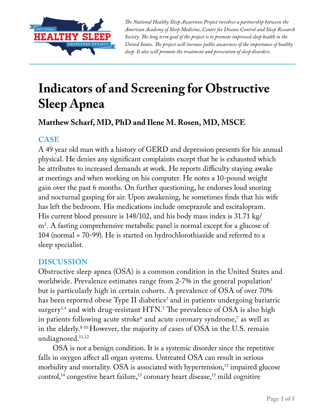

*The National Healthy Sleep Awareness Project involves a partnership between the American Academy of Sleep Medicine, Center for Disease Control and Sleep Research Society. The long term goal of the project is to promote improved sleep health in the United States. The project will increase public awareness of the importance of healthy sleep. It also will promote the treatment and prevention of sleep disorders.*

# **Indicators of and Screening for Obstructive Sleep Apnea**

## **Matthew Scharf, MD, PhD and Ilene M. Rosen, MD, MSCE**

## **CASE**

A 49 year old man with a history of GERD and depression presents for his annual physical. He denies any significant complaints except that he is exhausted which he attributes to increased demands at work. He reports difficulty staying awake at meetings and when working on his computer. He notes a 10-pound weight gain over the past 6 months. On further questioning, he endorses loud snoring and nocturnal gasping for air. Upon awakening, he sometimes finds that his wife has left the bedroom. His medications include omeprazole and escitalopram. His current blood pressure is 148/102, and his body mass index is 31.71 kg/ m2 . A fasting comprehensive metabolic panel is normal except for a glucose of 104 (normal = 70-99). He is started on hydrochlorothiazide and referred to a sleep specialist.

### **DISCUSSION**

Obstructive sleep apnea (OSA) is a common condition in the United States and worldwide. Prevalence estimates range from 2-7% in the general population<sup>1</sup> but is particularly high in certain cohorts. A prevalence of OSA of over 70% has been reported obese Type II diabetics $^{\rm 2}$  and in patients undergoing bariatric surgery $^{3,4}$  and with drug-resistant  $\rm{HTN.^{5}}$  The prevalence of OSA is also high in patients following acute stroke $^{\rm 6}$  and acute coronary syndrome, $^{\rm 7}$  as well as in the elderly.8-10 However, the majority of cases of OSA in the U.S. remain undiagnosed.<sup>11,12</sup>

OSA is not a benign condition. It is a systemic disorder since the repetitive falls in oxygen affect all organ systems. Untreated OSA can result in serious morbidity and mortality. OSA is associated with hypertension,<sup>13</sup> impaired glucose control,<sup>14</sup> congestive heart failure,<sup>15</sup> coronary heart disease,<sup>15</sup> mild cognitive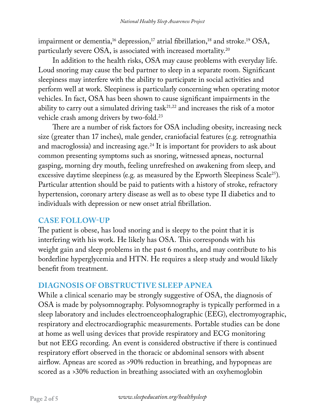impairment or dementia,<sup>16</sup> depression,<sup>17</sup> atrial fibrillation,<sup>18</sup> and stroke.<sup>19</sup> OSA, particularly severe OSA, is associated with increased mortality.20

In addition to the health risks, OSA may cause problems with everyday life. Loud snoring may cause the bed partner to sleep in a separate room. Significant sleepiness may interfere with the ability to participate in social activities and perform well at work. Sleepiness is particularly concerning when operating motor vehicles. In fact, OSA has been shown to cause significant impairments in the ability to carry out a simulated driving task $2^{1,22}$  and increases the risk of a motor vehicle crash among drivers by two-fold.<sup>23</sup>

There are a number of risk factors for OSA including obesity, increasing neck size (greater than 17 inches), male gender, craniofacial features (e.g. retrognathia and macroglossia) and increasing age.<sup>24</sup> It is important for providers to ask about common presenting symptoms such as snoring, witnessed apneas, nocturnal gasping, morning dry mouth, feeling unrefreshed on awakening from sleep, and excessive daytime sleepiness (e.g. as measured by the Epworth Sleepiness Scale<sup>25</sup>). Particular attention should be paid to patients with a history of stroke, refractory hypertension, coronary artery disease as well as to obese type II diabetics and to individuals with depression or new onset atrial fibrillation.

#### **CASE FOLLOW-UP**

The patient is obese, has loud snoring and is sleepy to the point that it is interfering with his work. He likely has OSA. This corresponds with his weight gain and sleep problems in the past 6 months, and may contribute to his borderline hyperglycemia and HTN. He requires a sleep study and would likely benefit from treatment.

### **DIAGNOSIS OF OBSTRUCTIVE SLEEP APNEA**

While a clinical scenario may be strongly suggestive of OSA, the diagnosis of OSA is made by polysomnography. Polysomnography is typically performed in a sleep laboratory and includes electroenceophalographic (EEG), electromyographic, respiratory and electrocardiographic measurements. Portable studies can be done at home as well using devices that provide respiratory and ECG monitoring but not EEG recording. An event is considered obstructive if there is continued respiratory effort observed in the thoracic or abdominal sensors with absent airflow. Apneas are scored as >90% reduction in breathing, and hypopneas are scored as a >30% reduction in breathing associated with an oxyhemoglobin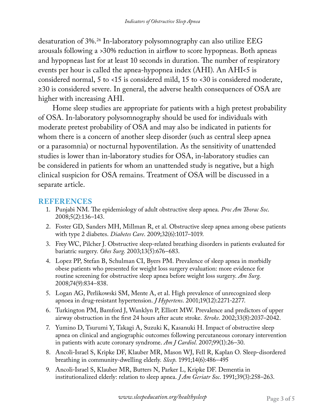desaturation of 3%.26 In-laboratory polysomnography can also utilize EEG arousals following a >30% reduction in airflow to score hypopneas. Both apneas and hypopneas last for at least 10 seconds in duration. The number of respiratory events per hour is called the apnea-hypopnea index (AHI). An AHI<5 is considered normal, 5 to <15 is considered mild, 15 to <30 is considered moderate, ≥30 is considered severe. In general, the adverse health consequences of OSA are higher with increasing AHI.

Home sleep studies are appropriate for patients with a high pretest probability of OSA. In-laboratory polysomnography should be used for individuals with moderate pretest probability of OSA and may also be indicated in patients for whom there is a concern of another sleep disorder (such as central sleep apnea or a parasomnia) or nocturnal hypoventilation. As the sensitivity of unattended studies is lower than in-laboratory studies for OSA, in-laboratory studies can be considered in patients for whom an unattended study is negative, but a high clinical suspicion for OSA remains. Treatment of OSA will be discussed in a separate article.

#### **REFERENCES**

- 1. Punjabi NM. The epidemiology of adult obstructive sleep apnea. *Proc Am Thorac Soc*. 2008;5(2):136–143.
- 2. Foster GD, Sanders MH, Millman R, et al. Obstructive sleep apnea among obese patients with type 2 diabetes. *Diabetes Care*. 2009;32(6):1017–1019.
- 3. Frey WC, Pilcher J. Obstructive sleep-related breathing disorders in patients evaluated for bariatric surgery. *Obes Surg*. 2003;13(5):676–683.
- 4. Lopez PP, Stefan B, Schulman CI, Byers PM. Prevalence of sleep apnea in morbidly obese patients who presented for weight loss surgery evaluation: more evidence for routine screening for obstructive sleep apnea before weight loss surgery. *Am Surg*. 2008;74(9):834–838.
- 5. Logan AG, Perlikowski SM, Mente A, et al. High prevalence of unrecognized sleep apnoea in drug-resistant hypertension. *J Hypertens*. 2001;19(12):2271-2277.
- 6. Turkington PM, Bamford J, Wanklyn P, Elliott MW. Prevalence and predictors of upper airway obstruction in the first 24 hours after acute stroke. *Stroke*. 2002;33(8):2037–2042.
- 7. Yumino D, Tsurumi Y, Takagi A, Suzuki K, Kasanuki H. Impact of obstructive sleep apnea on clinical and angiographic outcomes following percutaneous coronary intervention in patients with acute coronary syndrome. *Am J Cardiol*. 2007;99(1):26–30.
- 8. Ancoli-Israel S, Kripke DF, Klauber MR, Mason WJ, Fell R, Kaplan O. Sleep-disordered breathing in community-dwelling elderly. *Sleep*. 1991;14(6):486–495
- 9. Ancoli-Israel S, Klauber MR, Butters N, Parker L, Kripke DF. Dementia in institutionalized elderly: relation to sleep apnea. *J Am Geriatr Soc*. 1991;39(3):258–263.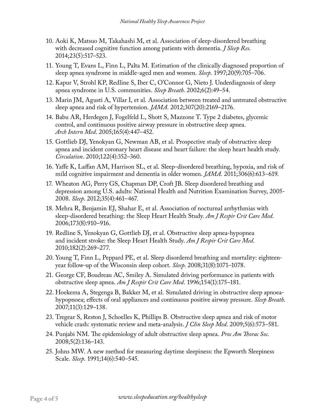- 10. Aoki K, Matsuo M, Takahashi M, et al. Association of sleep-disordered breathing with decreased cognitive function among patients with dementia. *J Sleep Res*. 2014;23(5):517–523.
- 11. Young T, Evans L, Finn L, Palta M. Estimation of the clinically diagnosed proportion of sleep apnea syndrome in middle-aged men and women. *Sleep*. 1997;20(9):705–706.
- 12. Kapur V, Strohl KP, Redline S, Iber C, O'Connor G, Nieto J. Underdiagnosis of sleep apnea syndrome in U.S. communities. *Sleep Breath*. 2002;6(2):49–54.
- 13. Marin JM, Agusti A, Villar I, et al. Association between treated and untreated obstructive sleep apnea and risk of hypertension. *JAMA*. 2012;307(20):2169–2176.
- 14. Babu AR, Herdegen J, Fogelfeld L, Shott S, Mazzone T. Type 2 diabetes, glycemic control, and continuous positive airway pressure in obstructive sleep apnea. *Arch Intern Med*. 2005;165(4):447–452.
- 15. Gottlieb DJ, Yenokyan G, Newman AB, et al. Prospective study of obstructive sleep apnea and incident coronary heart disease and heart failure: the sleep heart health study. *Circulation*. 2010;122(4):352–360.
- 16. Yaffe K, Laffan AM, Harrison SL, et al. Sleep-disordered breathing, hypoxia, and risk of mild cognitive impairment and dementia in older women. *JAMA*. 2011;306(6):613–619.
- 17. Wheaton AG, Perry GS, Chapman DP, Croft JB. Sleep disordered breathing and depression among U.S. adults: National Health and Nutrition Examination Survey, 2005- 2008. *Sleep*. 2012;35(4):461–467.
- 18. Mehra R, Benjamin EJ, Shahar E, et al. Association of nocturnal arrhythmias with sleep-disordered breathing: the Sleep Heart Health Study. *Am J Respir Crit Care Med*. 2006;173(8):910–916.
- 19. Redline S, Yenokyan G, Gottlieb DJ, et al. Obstructive sleep apnea-hypopnea and incident stroke: the Sleep Heart Health Study. *Am J Respir Crit Care Med*. 2010;182(2):269–277.
- 20. Young T, Finn L, Peppard PE, et al. Sleep disordered breathing and mortality: eighteenyear follow-up of the Wisconsin sleep cohort. *Sleep*. 2008;31(8):1071–1078.
- 21. George CF, Boudreau AC, Smiley A. Simulated driving performance in patients with obstructive sleep apnea. *Am J Respir Crit Care Med*. 1996;154(1):175–181.
- 22. Hoekema A, Stegenga B, Bakker M, et al. Simulated driving in obstructive sleep apnoeahypopnoea; effects of oral appliances and continuous positive airway pressure. *Sleep Breath*. 2007;11(3):129–138.
- 23. Tregear S, Reston J, Schoelles K, Phillips B. Obstructive sleep apnea and risk of motor vehicle crash: systematic review and meta-analysis. *J Clin Sleep Med*. 2009;5(6):573–581.
- 24. Punjabi NM. The epidemiology of adult obstructive sleep apnea. *Proc Am Thorac Soc*. 2008;5(2):136–143.
- 25. Johns MW. A new method for measuring daytime sleepiness: the Epworth Sleepiness Scale. *Sleep*. 1991;14(6):540–545.